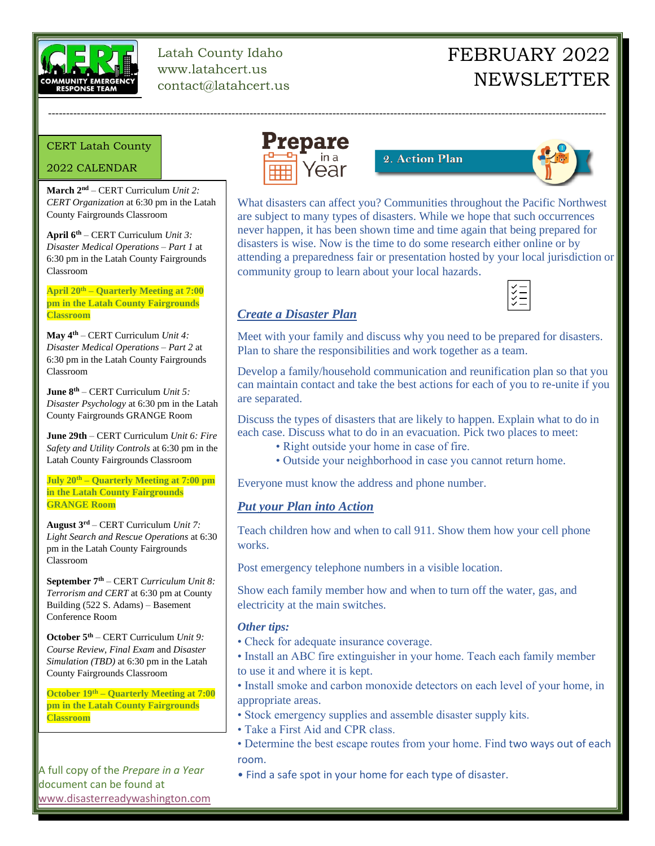

Latah County Idaho www.latahcert.us contact@latahcert.us

# FEBRUARY 2022 NEWSLETTER

#### CERT Latah County

#### 2022 CALENDAR

--

**March 2nd** – CERT Curriculum *Unit 2: CERT Organization* at 6:30 pm in the Latah County Fairgrounds Classroom

**April 6th** – CERT Curriculum *Unit 3: Disaster Medical Operations – Part 1* at 6:30 pm in the Latah County Fairgrounds Classroom

**April 20th – Quarterly Meeting at 7:00 pm in the Latah County Fairgrounds Classroom**

**May 4th** – CERT Curriculum *Unit 4: Disaster Medical Operations – Part 2* at 6:30 pm in the Latah County Fairgrounds Classroom

**June 8th** – CERT Curriculum *Unit 5: Disaster Psychology* at 6:30 pm in the Latah County Fairgrounds GRANGE Room

**June 29th** – CERT Curriculum *Unit 6: Fire Safety and Utility Controls* at 6:30 pm in the Latah County Fairgrounds Classroom

**July 20th – Quarterly Meeting at 7:00 pm in the Latah County Fairgrounds GRANGE Room**

**August 3rd** – CERT Curriculum *Unit 7: Light Search and Rescue Operations* at 6:30 pm in the Latah County Fairgrounds Classroom

**September 7th** – CERT *Curriculum Unit 8: Terrorism and CERT* at 6:30 pm at County Building (522 S. Adams) – Basement Conference Room

**October 5th** – CERT Curriculum *Unit 9: Course Review, Final Exam* and *Disaster Simulation (TBD)* at 6:30 pm in the Latah County Fairgrounds Classroom

**October 19th – Quarterly Meeting at 7:00 pm in the Latah County Fairgrounds Classroom**

A full copy of the *Prepare in a Year* document can be found at [www.disasterreadywashington.com](http://www.disasterreadywashington.com/)



-----------------------------------------------------------------------------------------------------------------------------------------------------------

2. Action Plan



What disasters can affect you? Communities throughout the Pacific Northwest are subject to many types of disasters. While we hope that such occurrences never happen, it has been shown time and time again that being prepared for disasters is wise. Now is the time to do some research either online or by attending a preparedness fair or presentation hosted by your local jurisdiction or community group to learn about your local hazards.



## *Create a Disaster Plan*

Meet with your family and discuss why you need to be prepared for disasters. Plan to share the responsibilities and work together as a team.

Develop a family/household communication and reunification plan so that you can maintain contact and take the best actions for each of you to re-unite if you are separated.

Discuss the types of disasters that are likely to happen. Explain what to do in each case. Discuss what to do in an evacuation. Pick two places to meet:

- Right outside your home in case of fire.
- Outside your neighborhood in case you cannot return home.

Everyone must know the address and phone number.

## *Put your Plan into Action*

Teach children how and when to call 911. Show them how your cell phone works.

Post emergency telephone numbers in a visible location.

Show each family member how and when to turn off the water, gas, and electricity at the main switches.

#### *Other tips:*

- Check for adequate insurance coverage.
- Install an ABC fire extinguisher in your home. Teach each family member to use it and where it is kept.

• Install smoke and carbon monoxide detectors on each level of your home, in appropriate areas.

- Stock emergency supplies and assemble disaster supply kits.
- Take a First Aid and CPR class.
- Determine the best escape routes from your home. Find two ways out of each room.
- Find a safe spot in your home for each type of disaster.